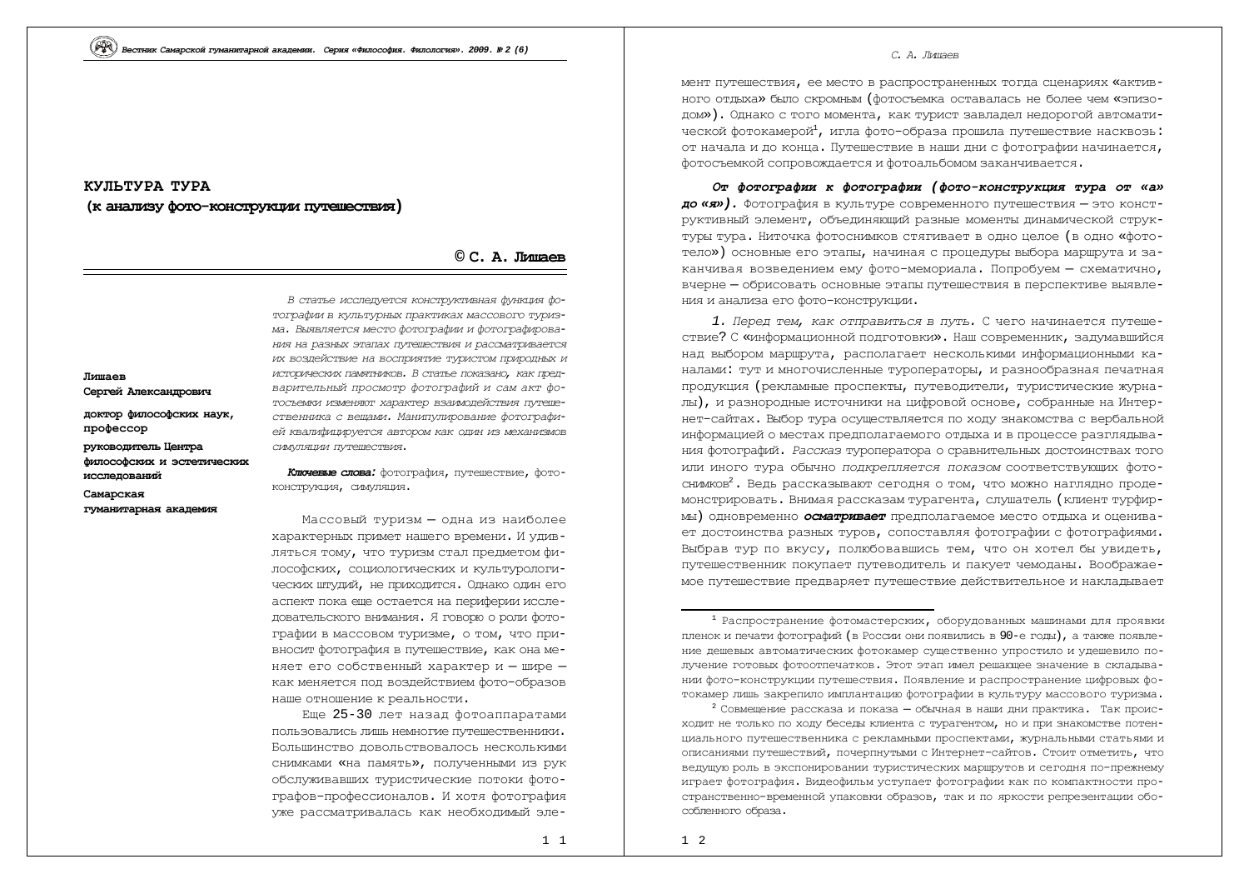# КУЛЬТУРА **ТУРА ɤɚɧɚɥɢɡɭɮɨɬɨɤɨɧɫɬɪɭɤɰɢɢɩɭɬɟɲɟɫɬɜɢɹ)**

# **© ɋ. Ⱥ. Ʌɢɲɚɟɜ**

| Лишаев<br>Сергей Александрович                                    |
|-------------------------------------------------------------------|
| доктор философских наук,<br>профессор                             |
| руководитель Центра<br>философских и эстетических<br>исследований |
| Самарская<br>гуманитарная академия                                |
|                                                                   |

В статье исследуется конструктивная функция фотографии в культурных практиках массового туризма. Выявляется место фотографии и фотографирова-*НИЯ НА РАЗНЫХ ЭТАПАХ ПУТЕЩЕСТВИЯ И РАССМАТРИВАЕТСЯ* их воздействие на восприятие туристом природных и *ɢɫɬɨɪɢɱɟɫɤɢɯɩɚɦɹɬɧɢɤɨɜ. ȼɫɬɚɬɶɟɩɨɤɚɡɚɧɨ, ɤɚɤɩɪɟɞ*варительный просмотр фотографий и сам акт фо*ɬɨɫɴɟɦɤɢɢɡɦɟɧɹɸɬɯɚɪɚɤɬɟɪɜɡɚɢɦɨɞɟɣɫɬɜɢɹɩɭɬɟɲɟ*ственника с вещами. Манипулирование фотографией квалифицируется автором как один из механизмов *ɫɢɦɭɥɹɰɢɢɩɭɬɟɲɟɫɬɜɢɹ.*

**Ключевые слова:** фотография, путешествие, фотоконструкция, симуляция.

Массовый туризм - одна из наиболее характерных примет нашего времени. И удивляться тому, что туризм стал предметом философских, социологических и культурологических штудий, не приходится. Однако один его аспект пока еще остается на периферии исследовательского внимания. Я говорю о роли фотографии в массовом туризме, о том, что привносит фотография в путешествие, как она меняет его собственный характер и - шире как меняется под воздействием фото-образов наше отношение к реальности.

Еще 25-30 лет назад фотоаппаратами пользовались лишь немногие путешественники. Большинство довольствовалось несколькими снимками «на память», полученными из рук обслуживавших туристические потоки фотографов-профессионалов. И хотя фотография vже рассматривалась как необходимый эле-

### *С. А. Лицаев*

МЕНТ ПУТЕШЕСТВИЯ, ЕЕ МЕСТО В РАСПРОСТРАНЕННЫХ ТОГЛА СЦЕНАРИЯХ «АКТИВного отдыха» было скромным (фотосъемка оставалась не более чем «эпизодом»). Однако с того момента, как турист завладел недорогой автоматической фотокамерой<sup>1</sup>, игла фото-образа прошила путешествие насквозь: от начала и до конца. Путеществие в наши дни с фотографии начинается, фотосъемкой сопровождается и фотоальбомом заканчивается.

От фотографии к фотографии (фото-конструкция тура от «а» **до «я»).** Фотография в культуре современного путешествия - это конструктивный элемент, объединяющий разные моменты динамической структуры тура. Ниточка фотоснимков стягивает в одно целое (в одно «фототело») основные его этапы, начиная с процедуры выбора маршрута и заканчивая возведением ему фото-мемориала. Попробуем - схематично, вчерне – обрисовать основные этапы путешествия в перспективе выявления и анализа его фото-конструкции.

1. *Перед тем, как отправиться в путь.* С чего начинается путешествие? С «информационной подготовки». Наш современник, задумавшийся над выбором маршрута, располагает несколькими информационными каналами: тут и многочисленные туроператоры, и разнообразная печатная продукция (рекламные проспекты, путеводители, туристические журналы), и разнородные источники на цифровой основе, собранные на Интернет-сайтах. Выбор тура осуществляется по ходу знакомства с вербальной информацией о местах предполагаемого отдыха и в процессе разглядывания фотографий. Рассказ туроператора о сравнительных достоинствах того или иного тура обычно *подкрепляется показом* соответствующих фотосним ков<sup>2</sup>. Ведь рассказывают сегодня о том, что можно наглядно продемонстрировать. Внимая рассказам турагента, слушатель (клиент турфирмы) одновременно **осматривает** предполагаемое место отдыха и оценивает достоинства разных туров, сопоставляя фотографии с фотографиями. Выбрав тур по вкусу, полюбовавшись тем, что он хотел бы увидеть, путешественник покупает путеводитель и пакует чемоданы. Воображаемое путешествие предваряет путешествие действительное и накладывает

 $1$  Распространение фотомастерских, оборудованных машинами для проявки пленок и печати фотографий (в России они появились в 90-е годы), а также появление дешевых автоматических фотокамер существенно упростило и удешевило получение готовых фотоотпечатков. Этот этап имел решающее значение в складывании фото-конструкции путешествия. Появление и распространение цифровых фотокамер лишь закрепило имплантацию фотографии в культуру массового туризма.

 $^{2}$  Совмещение рассказа и показа – обычная в наши дни практика. Так происходит не только по ходу беседы клиента с туратентом, но и при знакомстве потенциального путешественника с рекламными проспектами, журнальными статьями и описаниями путешествий, почерпнутыми с Интернет-сайтов. Стоит отметить, что ведущую роль в экспонировании туристических маршрутов и сегодня по-прежнему играет фотография. Видеофильм уступает фотографии как по компактности пространственно-временной упаковки образов, так и по яркости репрезентации обособленного образа.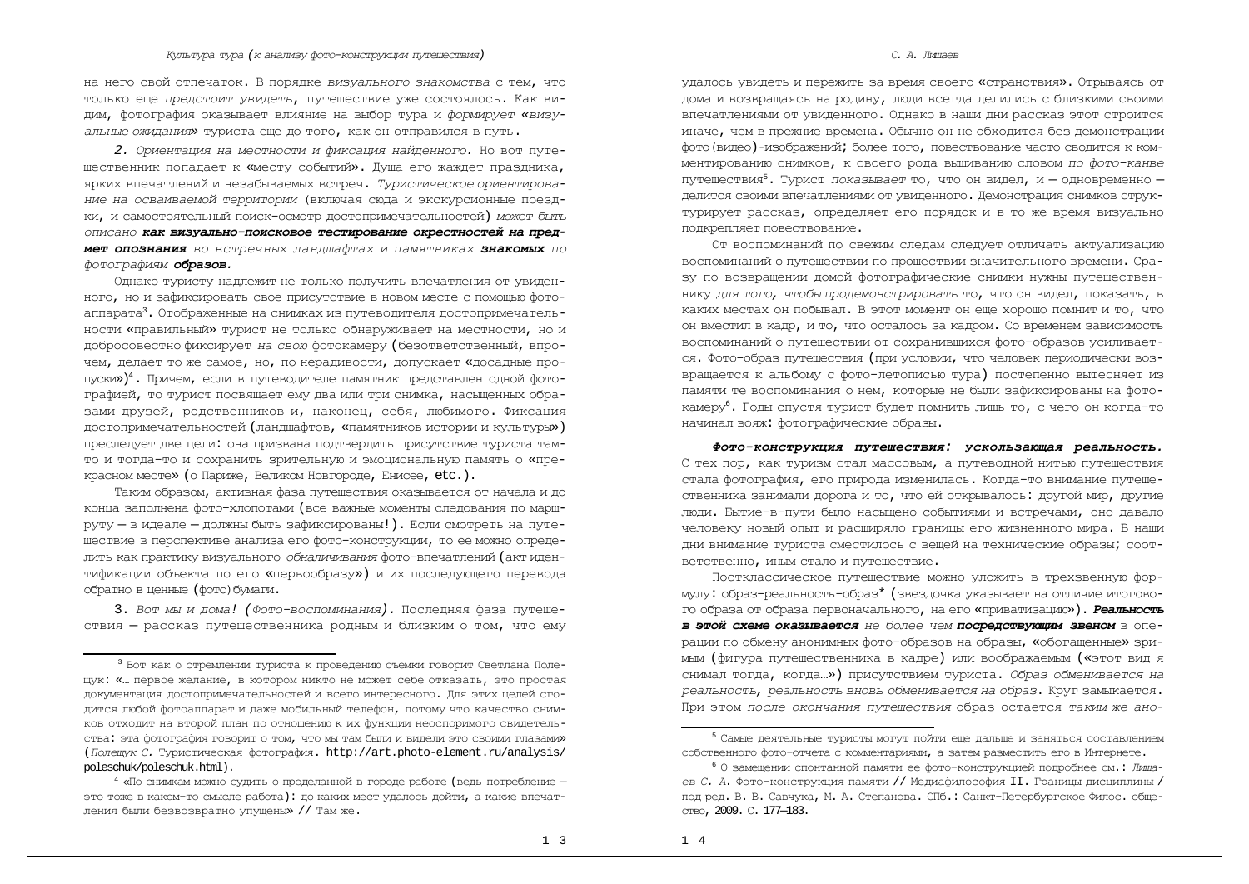на него свой отпечаток. В порядке *визуального знакомства* с тем, что только еще *предстоит увидеть*, путешествие уже состоялось. Как видим, фотография оказывает влияние на выбор тура и формирует «визуальные ожидания» туриста еще до того, как он отправился в путь.

2. Ориентация на местности и фиксация найденного. Но вот путешественник попадает к «месту событий». Душа его жаждет праздника, ярких впечатлений и незабываемых встреч. Туристическое ориентирование на осваиваемой территории (включая сюда и экскурсионные поездки, и самостоятельный поиск-осмотр достопримечательностей) может быть ОПИСАНО **как визуально-поисковое тестирование окрестностей на пред-**MeT OПОЗНАНИЯ ВО ВСТРЕЧНЫХ ЛАНДШАФТАХ И ПАМЯТНИКАХ ЗНАКОМЫХ ПО  $\phi$ отографиям **образов.** 

Однако туристу надлежит не только получить впечатления от увиденного, но и зафиксировать свое присутствие в новом месте с помощью фотоаппарата<sup>3</sup>. Отображенные на снимках из путеводителя достопримечательности «правильный» турист не только обнаруживает на местности, но и добросовестно фиксирует на свою фотокамеру (безответственный, впрочем, делает то же самое, но, по нерадивости, допускает «досадные пропуски»)<sup>4</sup>. Причем, если в путеводителе памятник представлен одной фотографией, то турист посвящает ему два или три снимка, насыщенных образами друзей, родственников и, наконец, себя, любимого. Фиксация достопримечательностей (ландшафтов, «памятников истории и культуры») преследует две цели: она призвана подтвердить присутствие туриста тамто и тогда-то и сохранить зрительную и эмоциональную память о «прекрасном месте» (о Париже, Великом Новгороде, Енисее, etc.).

Таким образом, активная фаза путешествия оказывается от начала и до конца заполнена фото-хлопотами (все важные моменты следования по маршруту – в идеале – должны быть зафиксированы!). Если смотреть на путешествие в перспективе анализа его фото-конструкции, то ее можно определить как практику визуального *обналичивания* фото-впечатлений (акт идентификации объекта по его «первообразу») и их последующего перевода обратно в ценные (фото) бумаги.

3. Вот мы и дома! (Фото-воспоминания). Последняя фаза путешествия - рассказ путешественника родным и близким о том, что ему

### *С. А. Лицаев*

VЛАЛОСЬ УВИДЕТЬ И ПЕРЕЖИТЬ ЗА ВРЕМЯ СВОЕГО «СТРАНСТВИЯ». ОТРЫВАЯСЬ ОТ дома и возвращаясь на родину, люди всегда делились с близкими своими впечатлениями от увиденного. Однако в наши дни рассказ этот строится иначе, чем в прежние времена. Обычно он не обходится без демонстрации фото (видео)-изображений; более того, повествование часто сводится к комментированию снимков, к своего рода вышиванию словом *по фото-канве* путешествия<sup>5</sup>. Турист *показывает* то, что он видел, и – одновременно – делится своими впечатлениями от увиденного. Демонстрация снимков структурирует рассказ, определяет его порядок и в то же время визуально подкрепляет повествование.

От воспоминаний по свежим следам следует отличать актуализацию воспоминаний о путешествии по прошествии значительного времени. Сразу по возвращении домой фотографические снимки нужны путешествен-НИКУ ДЛЯ ТОГО, ЧТОбЫ ПООДЕМОНСТОИООВАТЬ ТО, ЧТО ОН ВИДЕЛ, ПОКАЗАТЬ, В каких местах он побывал. В этот момент он еще хорошо помнит и то, что он вместил в кадр, и то, что осталось за кадром. Со временем зависимость воспоминаний о путешествии от сохранившихся фото-образов усиливается. Фото-образ путешествия (при условии, что человек периодически возвращается к альбому с фото-летописью тура) постепенно вытесняет из памяти те воспоминания о нем, которые не были зафиксированы на фотокамеру<sup>6</sup>. Годы спустя турист будет помнить лишь то, с чего он когда-то начинал вояж: фотографические образы.

*Ɏɨɬɨɤɨɧɫɬɪɭɤɰɢɹ ɩɭɬɟɲɟɫɬɜɢɹ: ɭɫɤɨɥɶɡɚɸɳɚɹ ɪɟɚɥɶɧɨɫɬɶ.* С тех пор, как туризм стал массовым, а путеводной нитью путешествия стала фотография, его природа изменилась. Когда-то внимание путешественника занимали дорога и то, что ей открывалось: другой мир, другие люди. Бытие-в-пути было насыщено событиями и встречами, оно давало человеку новый опыт и расширяло границы его жизненного мира. В наши дни внимание туриста сместилось с вещей на технические образы; соответственно, иным стало и путешествие.

Постклассическое путешествие можно уложить в трехзвенную формулу: образ-реальность-образ\* (звездочка указывает на отличие итогового образа от образа первоначального, на его «приватизацию»). Реальность **в этой схеме оказывается** не более чем посредствующим звеном в операции по обмену анонимных фото-образов на образы, «обогащенные» зри-МЫМ (ФИГУРА ПУТЕШЕСТВЕННИКА В КАДРЕ) ИЛИ ВООбражаемым («ЭТОТ ВИД Я снимал тогда, когда ...») присутствием туриста. *Образ обменивается на*  $pea$ льность, реальность вновь обменивается на образ. Круг замыкается. При этом после окончания путешествия образ остается таким же ано-

 $3$  Вот как о стремлении туриста к проведению съемки говорит Светлана Полещук: «... первое желание, в котором никто не может себе отказать, это простая документация достопримечательностей и всего интересного. Для этих целей сгодится любой фотоаппарат и даже мобильный телефон, потому что качество снимков отходит на второй план по отношению к их функции неоспоримого свидетельства: эта фотография говорит о том, что мы там были и видели это своими глазами» (Полещук С. Туристическая фотография.<http://art.photo-element.ru/analysis/> poleschuk/poleschuk.html).

 $^{4}$  «По снимкам можно судить о проделанной в городе работе (ведь потребление это тоже в каком-то смысле работа): до каких мест удалось дойти, а какие впечатления были безвозвратно упущены» // Там же.

<sup>&</sup>lt;sup>5</sup> Самые деятельные туристы могут пойти еще дальше и заняться составлением собственного фото-отчета с комментариями, а затем разместить его в Интернете.

<sup>&</sup>lt;sup>6</sup> О замещении спонтанной памяти ее фото-конструкцией подробнее см.: *Лиша*ев С. А. Фото-конструкция памяти // Медиафилософия II. Границы дисциплины / под ред. В. В. Савчука, М. А. Степанова. СПб.: Санкт-Петербургское Филос. обще-CTBO. 2009. C. 177-183.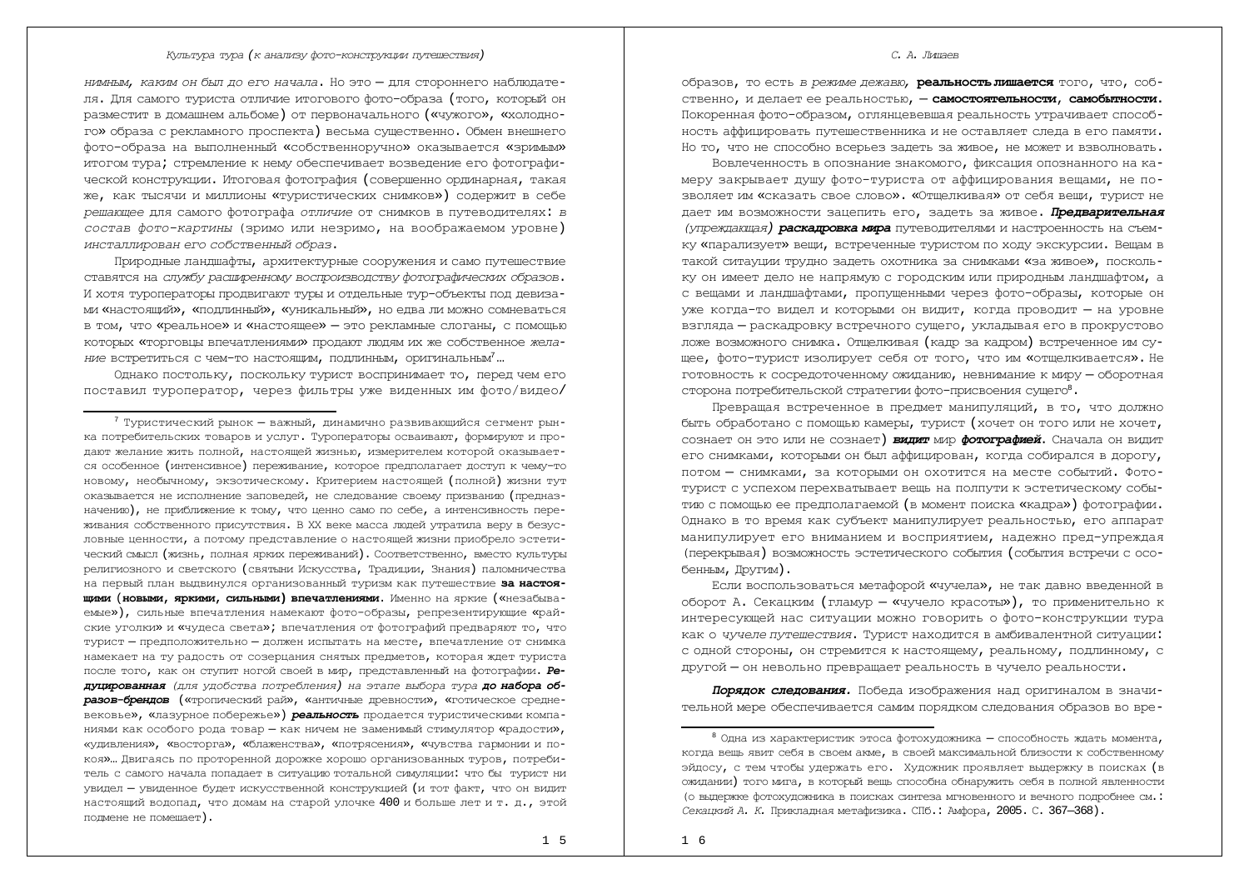$HUMHBM$ , каким он был до его начала. Но это – для стороннего наблюдателя. Для самого туриста отличие итогового фото-образа (того, который он разместит в домашнем альбоме) от первоначального («чужого», «холодного» образа с рекламного проспекта) весьма существенно. Обмен внешнего фото-образа на выполненный «собственноручно» оказывается «зримым» итогом тура; стремление к нему обеспечивает возведение его фотографической конструкции. Итоговая фотография (совершенно ординарная, такая же, как тысячи и миллионы «туристических снимков») содержит в себе *pешающее* для самого фотографа *отличие* от снимков в путеводителях: в *состав фото-картины* (зримо или незримо, на воображаемом уровне) инсталлирован его собственный образ.

Природные ландшафты, архитектурные сооружения и само путешествие ставятся на службу расширенному воспроизводству фотографических образов. И хотя туроператоры продвигают туры и отдельные тур-объекты под девизами «настоящий», «подлинный», «уникальный», но едва ли можно сомневаться в том, что «реальное» и «настоящее» — это рекламные слоганы, с помощью которых «торговцы впечатлениями» продают людям их же собственное жела-*НИ* ВСТРЕТИТЬСЯ С ЧЕМ-ТО НАСТОЯЩИМ, ПОДЛИННЫМ, ОРИГИНАЛЬНЫМ<sup>7</sup>...

Однако постольку, поскольку турист воспринимает то, перед чем его поставил туроператор, через фильтры уже виденных им фото/видео/

# *С. А. Лишаев*

óбразов, то есть *в режиме дежавю, реальность лишается того, что, с*обственно, и делает ее реальностью, - самостоятельности, самобытности. Покоренная фото-образом, оглянцевевшая реальность утрачивает способность аффицировать путешественника и не оставляет следа в его памяти. Но то, что не способно всерьез задеть за живое, не может и взволновать.

Вовлеченность в опознание знакомого, фиксация опознанного на камеру закрывает душу фото-туриста от аффицирования вещами, не позволяет им «сказать свое слово». «Отщелкивая» от себя вещи, турист не лает им возможности зацепить его, залеть за живое. **Предварительная** *(упреждающая)* **раскадровка мира** путеводителями и настроенность на съемку «парализует» вещи, встреченные туристом по холу экскурсии. Вещам в такой ситауции трудно задеть охотника за снимками «за живое», поскольку он имеет дело не напрямую с городским или природным ландшафтом, а с вешами и ландшафтами, пропушенными через фото-образы, которые он уже когда-то видел и которыми он видит, когда проводит - на уровне взгляда — раскадровку встречного сущего, укладывая его в прокрустово ложе возможного снимка. Отщелкивая (кадр за кадром) встреченное им сущее, фото-турист изолирует себя от того, что им «отщелкивается». Не готовность к сосредоточенному ожиданию, невнимание к миру - оборотная сторона потребительской стратегии фото-присвоения сущего<sup>8</sup>.

Превращая встреченное в предмет манипуляций, в то, что должно быть обработано с помощью камеры, турист (хочет он того или не хочет, сознает он это или не сознает) **видит** мир фотографией. Сначала он видит его снимками, которыми он был аффицирован, когда собирался в дорогу, потом - снимками, за которыми он охотится на месте событий. Фото-TVDИСТ С УСПЕХОМ ПЕРЕХВАТЫВАЕТ ВЕШЬ НА ПОЛПУТИ К ЭСТЕТИЧЕСКОМУ СОБЫтию с помощью ее предполагаемой (в момент поиска «кадра») фотографии. Однако в то время как субъект манипулирует реальностью, его аппарат манипулирует его вниманием и восприятием, надежно пред-упреждая (перекрывая) возможность эстетического события (события встречи с особенным. Люvгим).

Если воспользоваться метафорой «чучела», не так давно введенной в оборот А. Секацким (гламур – «чучело красоты»), то применительно к интересующей нас ситуации можно говорить о фото-конструкции тура как о *чучеле путешествия*. Турист находится в амбивалентной ситуации: с одной стороны, он стремится к настоящему, реальному, подлинному, с другой — он невольно превращает реальность в чучело реальности.

Порядок следования. Победа изображения над оригиналом в значительной мере обеспечивается самим порядком следования образов во вре-

 $^7$  Туристический рынок — важный, динамично развивающийся сегмент рынка потребительских товаров и услуг. Туроператоры осваивают, формируют и продают желание жить полной, настоящей жизнью, измерителем которой оказываетcя особенное (интенсивное) переживание, которое предполагает доступ к чему-то новому, необычному, экзотическому. Критерием настоящей (полной) жизни тут оказывается не исполнение заповедей, не следование своему призванию (предназначению), не приближение к тому, что ценно само по себе, а интенсивность пере-ЖИВАНИЯ СОбСТВЕННОГО ПРИСУТСТВИЯ. В XX веке масса людей утратила веру в безусловные ценности, а потому представление о настоящей жизни приобрело эстетический смысл (жизнь, полная ярких переживаний). Соответственно, вместо культуры религиозного и светского (святыни Искусства, Традиции, Знания) паломничества на первый план выдвинулся организованный туризм как путешествие за настоя**щими (новьми, яркими, сильными) впечатлениями.** Именно на яркие («незабываемые»), сильные впечатления намекают фото-образы, репрезентирующие «райские уголки» и «чудеса света»; впечатления от фотографий предваряют то, что турист – предположительно – должен испытать на месте, впечатление от снимка намекает на ту радость от созерцания снятых предметов, которая ждет туриста после того, как он ступит ногой своей в мир, представленный на фотографии. *Ре*- $\bar{a}$ у́џированная (для удобства потребления) на этапе выбора тура до набора об**разов-брендов** («тропический рай», «античные древности», «готическое средневековье», «лазурное побережье») **реальность** продается туристическими компа-НИЯМИ КАК ОСОбОГО РОДА ТОВАР - КАК НИЧЕМ НЕ ЗАМЕНИМЫЙ СТИМУЛЯТОР «РАДОСТИ», «удивления», «восторга», «блаженства», «потрясения», «чувства гармонии и покоя»... Двигаясь по проторенной дорожке хорошо организованных туров, потребитель с самого начала попадает в ситуацию тотальной симуляции: что бы турист ни VВИЛЕЛ — УВИЛЕННОЕ бУЛЕТ ИСКУССТВЕННОЙ КОНСТОУКЦИЕЙ (И ТОТ ФАКТ, ЧТО ОН ВИЛИТ настоящий волопал, что ломам на старой улочке 400 и больше лет и т. л., этой подмене не помешает).

 $8$  Одна из характеристик этоса фотохудожника — способность ждать момента, когда вещь явит себя в своем акме, в своей максимальной близости к собственному эйдосу, с тем чтобы удержать его. Художник проявляет выдержку в поисках (в ОЖИДАНИИ) ТОГО МИГА, В КОТОРЫЙ ВЕШЬ СПОСОбНА ОбНАРУЖИТЬ СЕбЯ В ПОЛНОЙ ЯВЛЕННОСТИ (о выдержке фотохудожника в поисках синтеза мгновенного и вечного подробнее см.: Секацкий А. К. Прикладная метафизика. СПб.: Амфора, 2005. С. 367-368).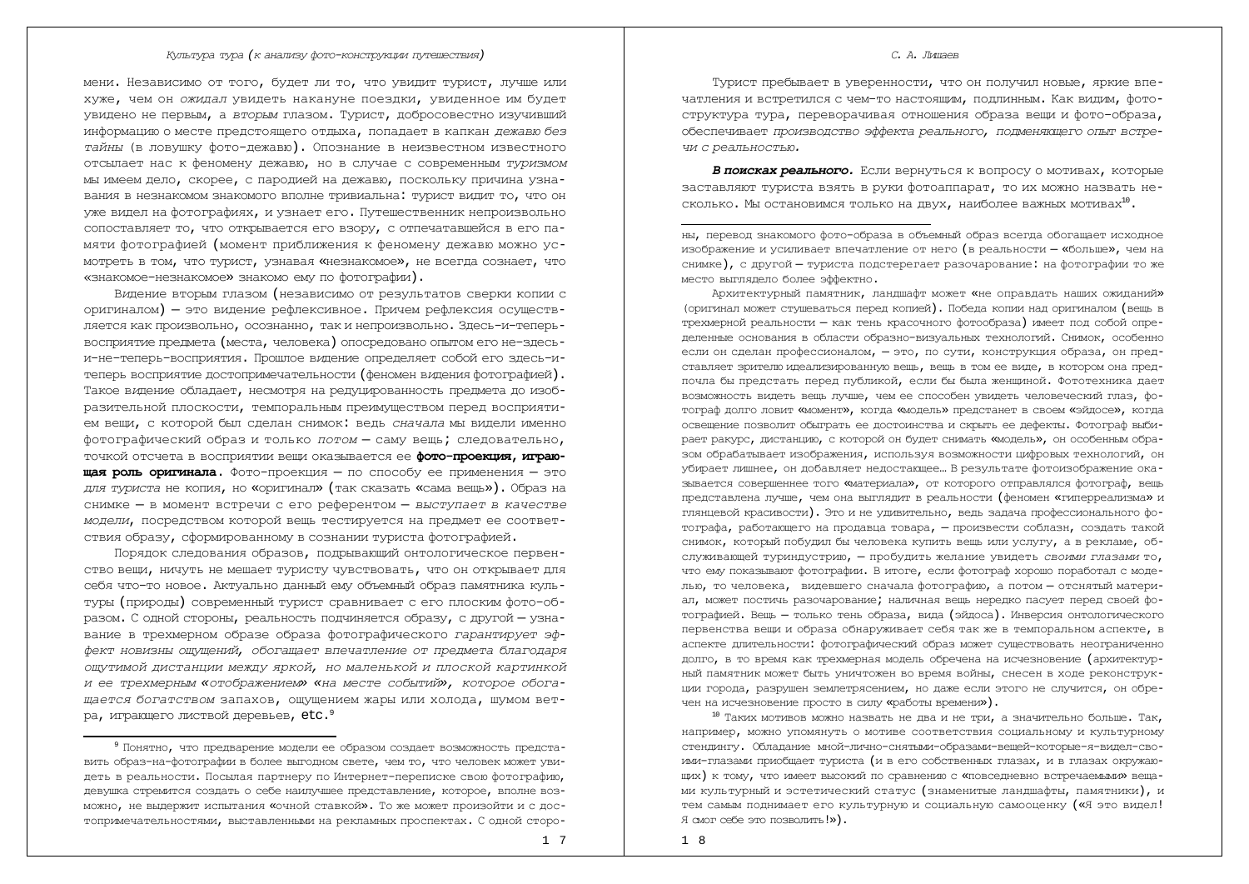мени. Независимо от того, будет ли то, что увидит турист, лучше или хуже, чем он *ожидал* увидеть накануне поездки, увиденное им будет увидено не первым, а вторым глазом. Турист, добросовестно изучивший информацию о месте предстоящего отдыха, попадает в капкан *дежавю без* тайны (в ловушку фото-дежавю). Опознание в неизвестном известного отсылает нас к феномену дежавю, но в случае с современным туризмом мы имеем дело, скорее, с пародией на дежавю, поскольку причина узнавания в незнакомом знакомого вполне тривиальна: турист видит то, что он vже видел на фотографиях, и узнает его. Путешественник непроизвольно сопоставляет то, что открывается его взору, с отпечатавшейся в его памяти фотографией (момент приближения к феномену дежавю можно ус-МОТРЕТЬ В ТОМ, ЧТО ТУРИСТ, УЗНАВАЯ «НЕЗНАКОМОЕ», НЕ ВСЕГДА СОЗНАЕТ, ЧТО «знакомое-незнакомое» знакомо ему по фотографии).

Видение вторым глазом (независимо от результатов сверки копии с оригиналом) – это видение рефлексивное. Причем рефлексия осуществляется как произвольно, осознанно, так и непроизвольно. Здесь-и-теперьвосприятие предмета (места, человека) опосредовано опытом его не-здесьи-не-теперь-восприятия. Прошлое видение определяет собой его здесь-итеперь восприятие достопримечательности (феномен видения фотографией). Такое видение обладает, несмотря на редуцированность предмета до изобразительной плоскости, темпоральным преимуществом перед восприятием вещи, с которой был сделан снимок: ведь *сначала* мы видели именно фотографический образ и только *потом* - саму вещь; следовательно, точкой отсчета в восприятии веши оказывается ее **фото-проекция, играющая роль оригинала.** Фото-проекция - по способу ее применения - это  $\mu$ ля туриста не копия, но «оригинал» (так сказать «сама вешь»). Образ на снимке - в момент встречи с его референтом - выступает в качестве модели, посредством которой вещь тестируется на предмет ее соответствия образу, сформированному в сознании туриста фотографией.

Порядок следования образов, подрывающий онтологическое первен-СТВО ВЕШИ, НИЧУТЬ НЕ МЕШАЕТ ТУРИСТУ ЧУВСТВОВАТЬ, ЧТО ОН ОТКРЫВАЕТ ДЛЯ себя что-то новое. Актуально данный ему объемный образ памятника культуры (природы) современный турист сравнивает с его плоским фото-образом. С одной стороны, реальность подчиняется образу, с другой - узнавание в трехмерном образе образа фотографического гарантирует эф- $\phi$ ект новизны ощущений, обогащает впечатление от предмета благодаря *ɨɳɭɬɢɦɨɣɞɢɫɬɚɧɰɢɢɦɟɠɞɭɹɪɤɨɣ, ɧɨɦɚɥɟɧɶɤɨɣɢɩɥɨɫɤɨɣɤɚɪɬɢɧɤɨɣ ɢɟɟɬɪɟɯɦɟɪɧɵɦ «ɨɬɨɛɪɚɠɟɧɢɟɦ» «ɧɚɦɟɫɬɟɫɨɛɵɬɢɣ», ɤɨɬɨɪɨɟɨɛɨɝɚ*дается богатством запахов, ощущением жары или холода, шумом ветра, играющего листвой деревьев, etc.<sup>9</sup>

# Турист пребывает в уверенности, что он получил новые, яркие впечатления и встретился с чем-то настоящим, подлинным. Как видим, фотоструктура тура, переворачивая отношения образа вещи и фото-образа, обеспечивает *произволство эффекта реального, полменяющего опыт встреɱɢɫɪɟɚɥɶɧɨɫɬɶɸ.*

**В поисках реального.** Если вернуться к вопросу о мотивах, которые заставляют туриста взять в руки фотоаппарат, то их можно назвать несколько. Мы остановимся только на двух, наиболее важных мотивах<sup>10</sup>.

НЫ, ПЕРЕВОД ЗНАКОМОГО ФОТО-Образа в Объемный Образ всегда Обогашает исходное изображение и усиливает впечатление от него (в реальности – «больше», чем на снимке), с другой – туриста подстерегает разочарование: на фотографии то же место выглядело более эффектно.

Архитектурный памятник, ландшафт может «не оправдать наших ожиданий» (оригинал может стушеваться перед копией). Победа копии над оригиналом (вещь в трехмерной реальности - как тень красочного фотообраза) имеет под собой определенные основания в области образно-визуальных технологий. Снимок, особенно если он слелан профессионалом, - это, по сути, конструкция образа, он представляет зрителю идеализированную вещь, вещь в том ее виде, в котором она предпочла бы предстать перед публикой, если бы была женщиной. Фототехника дает возможность видеть вещь лучше, чем ее способен увидеть человеческий глаз, фотограф долго ловит «момент», когда «модель» предстанет в своем «эйдосе», когда освещение позволит обыграть ее достоинства и скрыть ее дефекты. Фотограф выбирает ракурс, дистанцию, с которой он будет снимать «модель», он особенным образом обрабатывает изображения, используя возможности цифровых технологий, он vбирает лишнее, он добавляет недостающее... В результате фотоизображение оказывается совершеннее того «материала», от которого отправлялся фотограф, вещь представлена лучше, чем она выглядит в реальности (феномен «гиперреализма» и глянцевой красивости). Это и не удивительно, ведь задача профессионального фотографа, работающего на продавца товара, - произвести соблазн, создать такой снимок, который побудил бы человека купить вещь или услугу, а в рекламе, обслуживающей туриндустрию, - пробудить желание увидеть *своими глазами* то, что ему показывают фотографии. В итоге, если фотограф хорошо поработал с моделью, то человека, видевшего сначала фотографию, а потом - отснятый материал, может постичь разочарование; наличная вешь нередко пасует перед своей фотографией. Вещь - только тень образа, вида (эйдоса). Инверсия онтологического первенства вещи и образа обнаруживает себя так же в темпоральном аспекте, в аспекте длительности: фотографический образ может существовать неограниченно долго, в то время как трехмерная модель обречена на исчезновение (архитектурный памятник может быть уничтожен во время войны, снесен в ходе реконструкции города, разрушен землетрясением, но даже если этого не случится, он обречен на исчезновение просто в силу «работы времени»).

 $^{10}$  Таких мотивов можно назвать не два и не три, а значительно больше. Так, Например, можно упомянуть о мотиве соответствия социальному и культурному стендингу. Обладание мной-лично-снятыми-образами-вещей-которые-я-видел-сво-ИМИ-ГЛАЗАМИ ПОИОбщает туриста (и в его собственных глазах, и в глазах окружаю-ЩИХ) К ТОМУ, ЧТО ИМЕЕТ ВЫСОКИЙ ПО СРАВНЕНИЮ С «ПОВСЕДНЕВНО ВСТРЕЧАЕМЫМИ» ВЕЩАми культурный и эстетический статус (знаменитые ландшафты, памятники), и тем самым поднимает его культурную и социальную самооценку («Я это видел! Я смог себе это позволить!»).

1 8

## *С. А. Лицаев*

<sup>&</sup>lt;sup>9</sup> Понятно, что предварение модели ее образом создает возможность представить образ-на-фотографии в более выгодном свете, чем то, что человек может увидеть в реальности. Посылая партнеру по Интернет-переписке свою фотографию, девушка стремится создать о себе наилучшее представление, которое, вполне возможно, не вылержит испытания «очной ставкой». То же может произойти и с постопримечательностями, выставленными на рекламных проспектах. С одной сторо-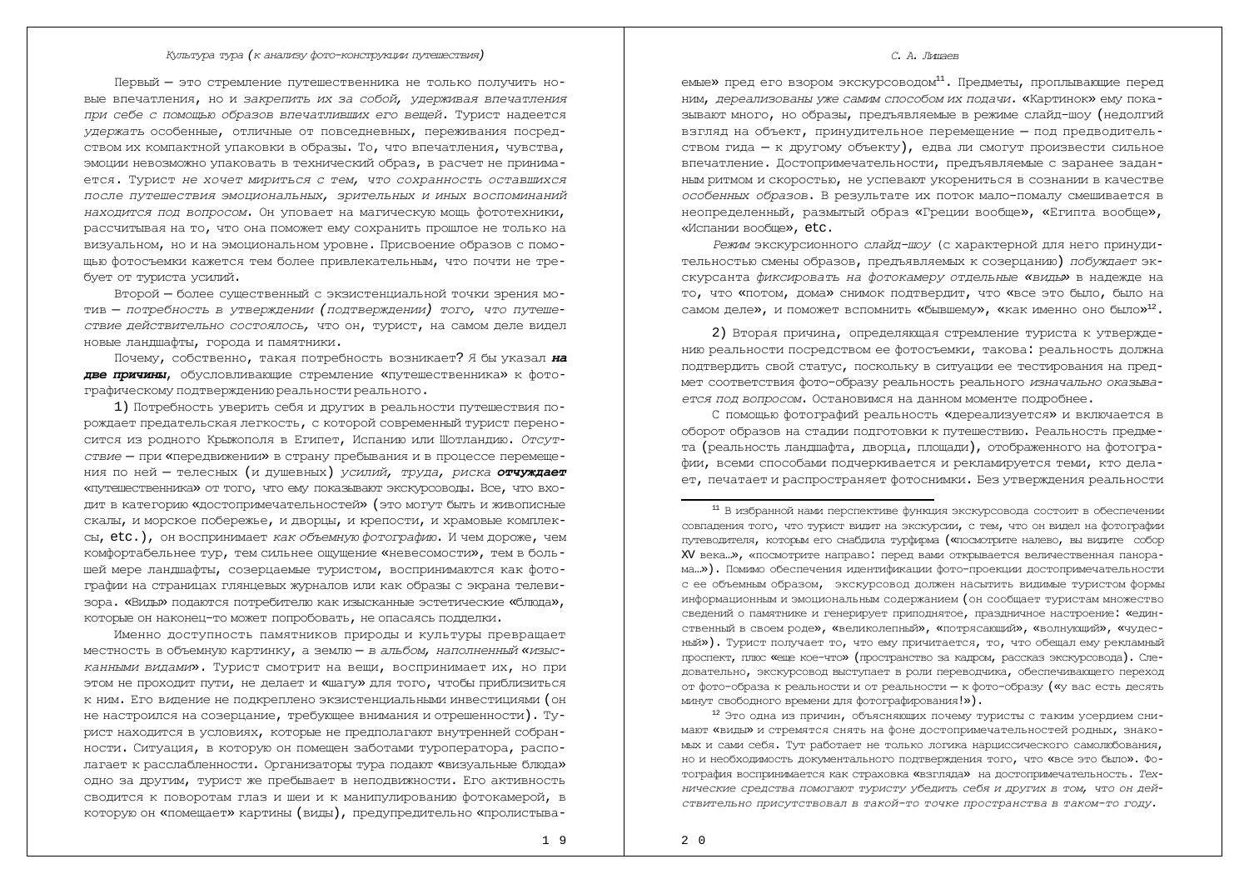Первый — это стремление путешественника не только получить новые впечатления, но и закрепить их за собой, удерживая впечатления при себе с помощью образов впечатливших его вещей. Турист надеется *VЛержать* особенные, отличные от повседневных, переживания посредством их компактной упаковки в образы. То, что впечатления, чувства, эмоции невозможно упаковать в технический образ, в расчет не принимается. Турист не хочет мириться с тем, что сохранность оставшихся после путешествия эмоциональных, зрительных и иных воспоминаний *нахолится под вопросом*. Он уповает на магическую мошь фототехники, рассчитывая на то, что она поможет ему сохранить прошлое не только на визуальном, но и на эмоциональном уровне. Присвоение образов с помощью фотосъемки кажется тем более привлекательным, что почти не требует от туриста усилий.

Второй — более существенный с экзистенциальной точки зрения мотив - потребность в утверждении (подтверждении) того, что путеше-*СТВИЕ ДЕЙСТВИТЕЛЬНО СОСТОЯЛОСЬ,* ЧТО ОН, ТУРИСТ, НА САМОМ ДЕЛЕ ВИДЕЛ новые ландшафты, города и памятники.

Почему, собственно, такая потребность возникает? Я бы указал на **две причины**, обусловливающие стремление «путешественника» к фотографическому подтверждению реальности реального.

1) Потребность уверить себя и других в реальности путешествия порождает предательская легкость, с которой современный турист переносится из родного Крыжополя в Египет, Испанию или Шотландию. *Отсут*-*CTBИе* — ПРИ «Передвижении» в страну пребывания и в процессе перемещения по ней — телесных (и душевных) *усилий, труда, риска* отчуждает «ПУТЕШЕСТВЕННИКА» ОТ ТОГО, ЧТО ЕМУ ПОКАЗЫВАЮТ ЭКСКУРСОВОЛЫ. Все, ЧТО ВХОдит в категорию «достопримечательностей» (это могут быть и живописные скалы, и морское побережье, и дворцы, и крепости, и храмовые комплексы, etc.), он воспринимает как объемную фотографию. И чем дороже, чем комфортабельнее тур, тем сильнее ощущение «невесомости», тем в большей мере ландшафты, созерцаемые туристом, воспринимаются как фотографии на страницах глянцевых журналов или как образы с экрана телевизора. «Виды» подаются потребителю как изысканные эстетические «блюда», которые он наконец-то может попробовать, не опасаясь подделки.

Именно доступность памятников природы и культуры превращает местность в объемную картинку, а землю - *в альбом, наполненный «изыс-*КАННЫМИ ВИДАМИ». ТУРИСТ СМОТРИТ НА ВЕЩИ, ВОСПРИНИМАЕТ ИХ, НО ПРИ этом не проходит пути, не делает и «шагу» для того, чтобы приблизиться к ним. Его видение не подкреплено экзистенциальными инвестициями (он не настроился на созерцание, требующее внимания и отрешенности). Турист находится в условиях, которые не предполагают внутренней собранности. Ситуация, в которую он помещен заботами туроператора, располагает к расслабленности. Организаторы тура подают «визуальные блюда» одно за другим, турист же пребывает в неподвижности. Его активность сводится к поворотам глаз и шеи и к манипулированию фотокамерой, в которую он «помещает» картины (виды), предупредительно «пролистыва-

## *С. А. Лицаев*

емые» пред его взором экскурсоводом<sup>11</sup>. Предметы, проплывающие перед ним, дереализованы уже самим способом их подачи. «Картинок» ему показывают много, но образы, предъявляемые в режиме слайд-шоу (недолгий взгляд на объект, принудительное перемещение - под предводительством гида – к другому объекту), едва ли смогут произвести сильное впечатление. Достопримечательности, предъявляемые с заранее задан-НЫМ РИТМОМ И СКОРОСТЬЮ, НЕ УСПЕВАЮТ УКОРЕНИТЬСЯ В СОЗНАНИИ В КАЧЕСТВЕ *особенных образов*. В результате их поток мало-помалу смешивается в неопределенный, размытый образ «Греции вообще», «Египта вообще», «Испании вообще», etc.

*Режим* экскурсионного слайд-шоу (с характерной для него принудительностью смены образов, предъявляемых к созерцанию) *побуждает* экскурсанта фиксировать на фотокамеру отдельные «виды» в надежде на то, что «потом, дома» снимок подтвердит, что «все это было, было на самом деле», и поможет вспомнить «бывшему», «как именно оно было»<sup>12</sup>.

2) Вторая причина, определяющая стремление туриста к утверждению реальности посредством ее фотосъемки, такова: реальность должна подтвердить свой статус, поскольку в ситуации ее тестирования на предмет соответствия фото-образу реальность реального изначально оказыва*ется под вопросом.* Остановимся на данном моменте подробнее.

С помощью фотографий реальность «дереализуется» и включается в оборот образов на стадии подготовки к путешествию. Реальность предмета (реальность ландшафта, дворца, плошади), отображенного на фотографии, всеми способами подчеркивается и рекламируется теми, кто делает, печатает и распространяет фотоснимки. Без утверждения реальности

 $12$  Это одна из причин, объясняющих почему туристы с таким усердием снимают «виды» и стремятся снять на фоне достопримечательностей родных, знакомых и сами себя. Тут работает не только логика нарциссического самолюбования, но и необходимость документального подтверждения того, что «все это было». Фотография воспринимается как страховка «взгляда» на достопримечательность. Тех*ɧɢɱɟɫɤɢɟɫɪɟɞɫɬɜɚɩɨɦɨɝɚɸɬɬɭɪɢɫɬɭɭɛɟɞɢɬɶɫɟɛɹɢɞɪɭɝɢɯɜɬɨɦ, ɱɬɨɨɧɞɟɣ* $c$ твительно присутствовал в такой-то точке пространства в таком-то году.

<sup>11</sup> В избранной нами перспективе функция экскурсовода состоит в обеспечении совпадения того, что турист видит на экскурсии, с тем, что он видел на фотографии путеводителя, которым его снабдила турфирма («посмотрите налево, вы видите собор XV века..», «посмотрите направо: перед вами открывается величественная панорама ...»). Помимо обеспечения идентификации фото-проекции достопримечательности с ее объемным образом, экскурсовод должен насытить видимые туристом формы информационным и эмоциональным содержанием (он сообщает туристам множество сведений о памятнике и генерирует приподнятое, праздничное настроение: «единственный в своем роде», «великолепный», «потрясающий», «волнующий», «чудес-НЫЙ»). Турист получает то, что ему причитается, то, что обещал ему рекламный проспект, плюс «еще кое-что» (пространство за кадром, рассказ экскурсовода). Следовательно, экскурсовод выступает в роли переводчика, обеспечивающего переход от фото-образа к реальности и от реальности – к фото-образу («у вас есть десять минут свободного времени для фотографирования!»).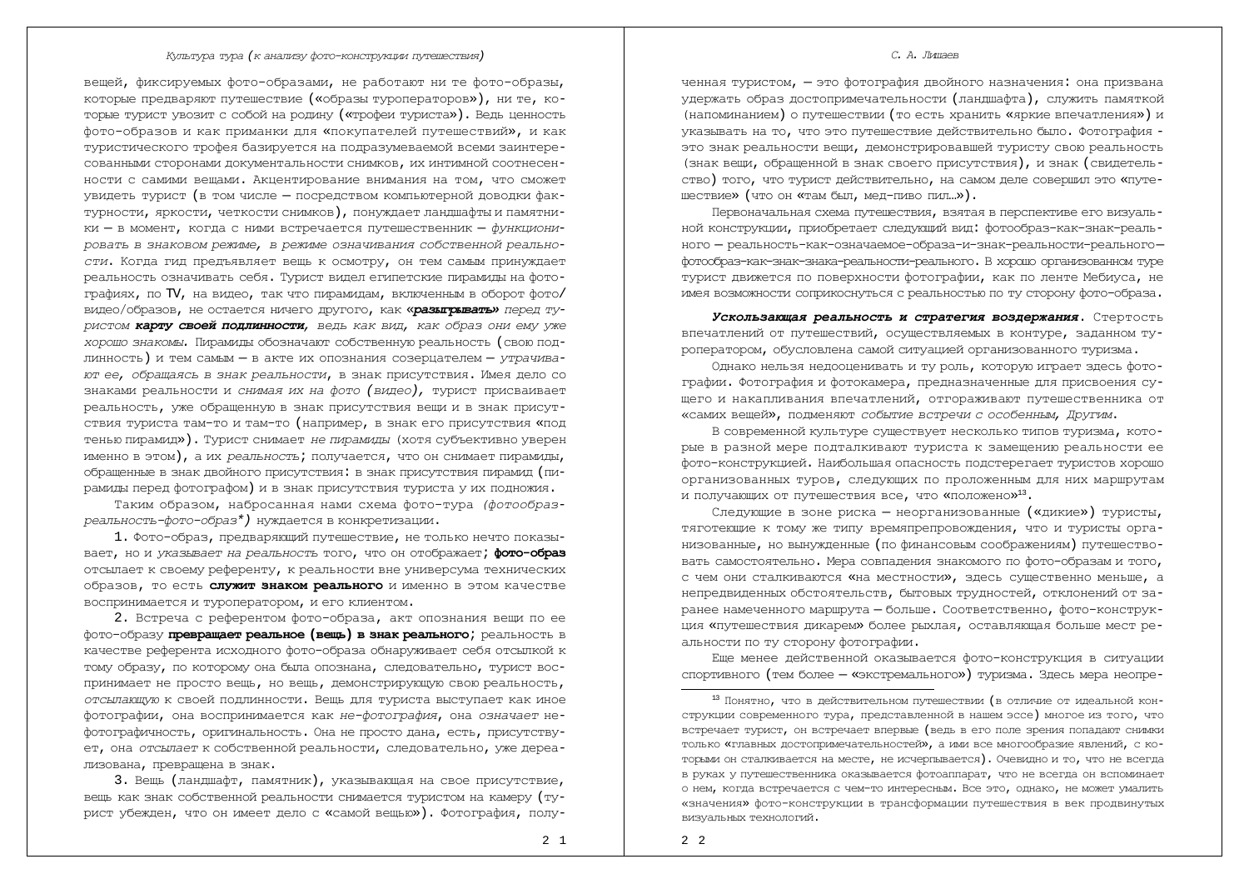вещей, фиксируемых фото-образами, не работают ни те фото-образы, которые предваряют путешествие («образы туроператоров»), ни те, которые турист увозит с собой на родину («трофеи туриста»). Ведь ценность фото-образов и как приманки для «покупателей путешествий», и как туристического трофея базируется на подразумеваемой всеми заинтересованными сторонами документальности снимков, их интимной соотнесенности с самими вещами. Акцентирование внимания на том, что сможет увидеть турист (в том числе - посредством компьютерной доводки фактvоности, яркости, четкости снимков), понуждает ландшафты и памятники – в момент, когда с ними встречается путешественник – функционировать в знаковом режиме, в режиме означивания собственной реально-*СТИ*. Когда гид предъявляет вещь к осмотру, он тем самым принуждает реальность означивать себя. Турист видел египетские пирамиды на фотографиях, по TV, на видео, так что пирамидам, включенным в оборот фото/ видео/образов, не остается ничего другого, как «**разыгрывать»** леред ту- $\emph{pucrom}$  **харту своей подлинности**, ведь как вид, как образ они ему уже *хорошо знакомы.* Пирамиды обозначают собственную реальность (свою подлинность) и тем самым - в акте их опознания созерцателем - утрачива*ютее, обращаясь в знак реальности, в знак присутствия. Имея дело со* знаками реальности и снимая их на фото (видео), турист присваивает реальность, уже обращенную в знак присутствия вещи и в знак присутствия туриста там-то и там-то (например, в знак его присутствия «под тенью пирамид»). Турист снимает не пирамиды (хотя субъективно уверен именно в этом), а их реальность; получается, что он снимает пирамилы, обращенные в знак двойного присутствия: в знак присутствия пирамид (пирамилы перед фотографом) и в знак присутствия туриста у их подножия.

Таким образом, набросанная нами схема фото-тура (фотообраз $pea$ льность-фото-образ\*) нуждается в конкретизации.

1. Фото-образ, предваряющий путеществие, не только нечто показывает, но и указывает на реальность того, что он отображает; фото-образ отсылает к своему референту, к реальности вне универсума технических **образов, то есть служит знаком реального** и именно в этом качестве воспринимается и туроператором, и его клиентом.

2. Встреча с референтом фото-образа, акт опознания вещи по ее фото-образу превращает реальное (вещь) в знак реального; реальность в качестве референта исходного фото-образа обнаруживает себя отсылкой к тому образу, по которому она была опознана, следовательно, турист воспринимает не просто вещь, но вещь, демонстрирующую свою реальность, *отсылающую* к своей подлинности. Вещь для туриста выступает как иное фотографии, она воспринимается как не-фотография, она означает нефотографичность, оригинальность. Она не просто дана, есть, присутствует, она *отсылает* к собственной реальности, следовательно, уже дереализована, превращена в знак.

3. Вещь (ландшафт, памятник), указывающая на свое присутствие, вещь как знак собственной реальности снимается туристом на камеру (турист убежден, что он имеет дело с «самой вещью»). Фотография, полу-

## *С. А. Лицаев*

ченная туристом, — это фотография двойного назначения: она призвана удержать образ достопримечательности (ландшафта), служить памяткой (напоминанием) о путешествии (то есть хранить «яркие впечатления») и УКАЗЫВАТЬ НА ТО, ЧТО ЭТО ПУТЕШЕСТВИЕ ДЕЙСТВИТЕЛЬНО бЫЛО. ФОТОГОАФИЯ это знак реальности вещи, демонстрировавшей туристу свою реальность (знак вещи, обращенной в знак своего присутствия), и знак (свидетель-СТВО) ТОГО, ЧТО ТУРИСТ ДЕЙСТВИТЕЛЬНО, НА САМОМ ДЕЛЕ СОВЕРШИЛ ЭТО «ПУТЕшествие» (что он «там был, мед-пиво пил...»).

Первоначальная схема путешествия, взятая в перспективе его визуальной конструкции, приобретает следующий вид: фотообраз-как-знак-реального — реальность-как-означаемое-образа-и-знак-реальности-реальногофотообраз-как-знак-знака-реальности-реального. В хорошо организованном туре турист движется по поверхности фотографии, как по ленте Мебиуса, не ИМЕЯ ВОЗМОЖНОСТИ СОПРИКОСНУТЬСЯ С РЕАЛЬНОСТЬЮ ПО ТУ СТОРОНУ ФОТО-Образа.

Ускользающая реальность и стратегия воздержания. Стертость впечатлений от путешествий, осуществляемых в контуре, заданном туроператором, обусловлена самой ситуацией организованного туризма.

Однако нельзя недооценивать и ту роль, которую играет здесь фотографии. Фотография и фотокамера, предназначенные для присвоения сущего и накапливания впечатлений, отгораживают путешественника от «самих вещей», подменяют событие встречи с особенным, Другим.

В современной культуре существует несколько типов туризма, которые в разной мере подталкивают туриста к замешению реальности ее фото-конструкцией. Наибольшая опасность подстерегает туристов хорошо организованных туров, следующих по проложенным для них маршрутам и получающих от путешествия все, что «положено» $^{\rm 13}$ .

Следующие в зоне риска – неорганизованные («дикие») туристы, TAFOTEKWA K TOMY KE TUIV BOEMANDENDOBOXNEHUA, YTO U TVDUCTH ODFAнизованные, но вынужденные (по финансовым соображениям) путешествовать самостоятельно. Мера совпадения знакомого по фото-образам и того, с чем они сталкиваются «на местности», здесь существенно меньше, а непредвиденных обстоятельств, бытовых трудностей, отклонений от заранее намеченного маршрута – больше. Соответственно, фото-конструкция «путешествия дикарем» более рыхлая, оставляющая больше мест реальности по ту сторону фотографии.

Еще менее действенной оказывается фото-конструкция в ситуации спортивного (тем более - «экстремального») туризма. Здесь мера неопре-

<sup>13</sup> Понятно, что в действительном путешествии (в отличие от идеальной конструкции современного тура, представленной в нашем эссе) многое из того, что встречает турист, он встречает впервые (ведь в его поле зрения попадают снимки только «главных постопримечательностей», а ими все многообразие явлений, с которыми он сталкивается на месте, не исчерлывается). Очевилно и то, что не всегла в руках у путешественника оказывается фотоаппарат, что не всегда он вспоминает о нем, когда встречается с чем-то интересным. Все это, однако, не может умалить «значения» фото-конструкции в трансформации путешествия в век продвинутых визуальных технологий.